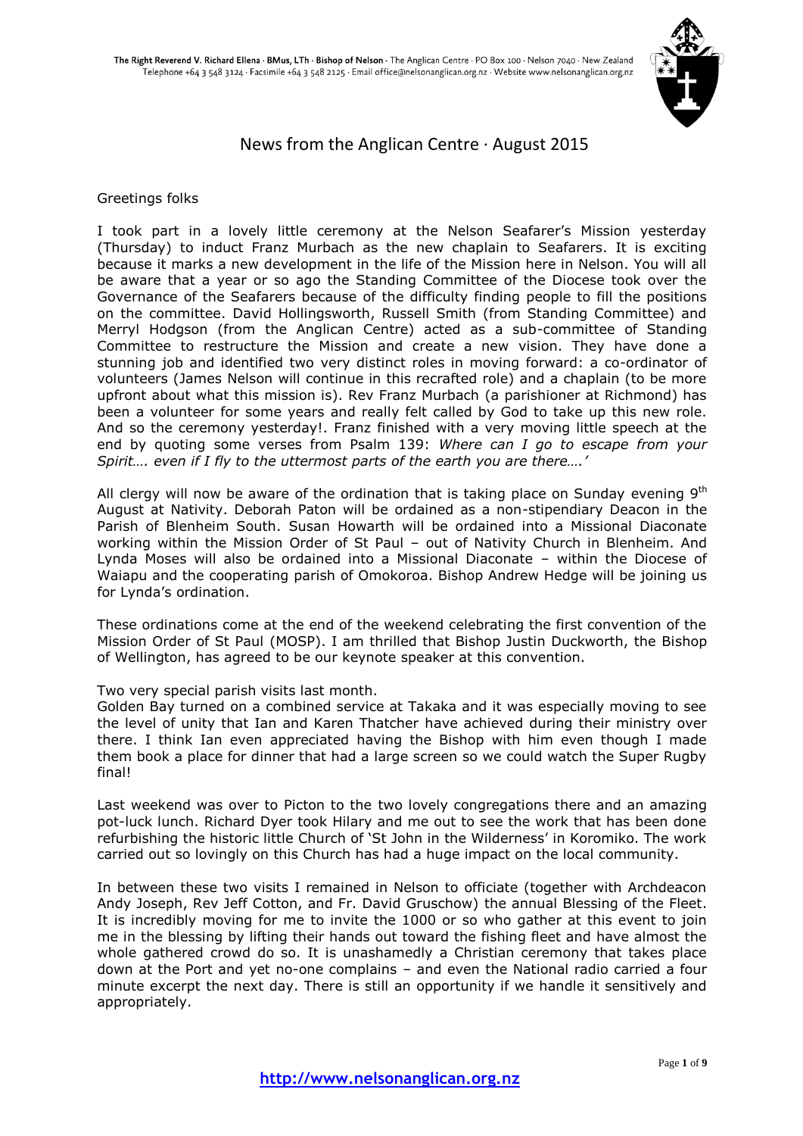

## News from the Anglican Centre · August 2015

## Greetings folks

I took part in a lovely little ceremony at the Nelson Seafarer's Mission yesterday (Thursday) to induct Franz Murbach as the new chaplain to Seafarers. It is exciting because it marks a new development in the life of the Mission here in Nelson. You will all be aware that a year or so ago the Standing Committee of the Diocese took over the Governance of the Seafarers because of the difficulty finding people to fill the positions on the committee. David Hollingsworth, Russell Smith (from Standing Committee) and Merryl Hodgson (from the Anglican Centre) acted as a sub-committee of Standing Committee to restructure the Mission and create a new vision. They have done a stunning job and identified two very distinct roles in moving forward: a co-ordinator of volunteers (James Nelson will continue in this recrafted role) and a chaplain (to be more upfront about what this mission is). Rev Franz Murbach (a parishioner at Richmond) has been a volunteer for some years and really felt called by God to take up this new role. And so the ceremony yesterday!. Franz finished with a very moving little speech at the end by quoting some verses from Psalm 139: *Where can I go to escape from your Spirit…. even if I fly to the uttermost parts of the earth you are there….'*

All clergy will now be aware of the ordination that is taking place on Sunday evening  $9<sup>th</sup>$ August at Nativity. Deborah Paton will be ordained as a non-stipendiary Deacon in the Parish of Blenheim South. Susan Howarth will be ordained into a Missional Diaconate working within the Mission Order of St Paul – out of Nativity Church in Blenheim. And Lynda Moses will also be ordained into a Missional Diaconate – within the Diocese of Waiapu and the cooperating parish of Omokoroa. Bishop Andrew Hedge will be joining us for Lynda's ordination.

These ordinations come at the end of the weekend celebrating the first convention of the Mission Order of St Paul (MOSP). I am thrilled that Bishop Justin Duckworth, the Bishop of Wellington, has agreed to be our keynote speaker at this convention.

## Two very special parish visits last month.

Golden Bay turned on a combined service at Takaka and it was especially moving to see the level of unity that Ian and Karen Thatcher have achieved during their ministry over there. I think Ian even appreciated having the Bishop with him even though I made them book a place for dinner that had a large screen so we could watch the Super Rugby final!

Last weekend was over to Picton to the two lovely congregations there and an amazing pot-luck lunch. Richard Dyer took Hilary and me out to see the work that has been done refurbishing the historic little Church of 'St John in the Wilderness' in Koromiko. The work carried out so lovingly on this Church has had a huge impact on the local community.

In between these two visits I remained in Nelson to officiate (together with Archdeacon Andy Joseph, Rev Jeff Cotton, and Fr. David Gruschow) the annual Blessing of the Fleet. It is incredibly moving for me to invite the 1000 or so who gather at this event to join me in the blessing by lifting their hands out toward the fishing fleet and have almost the whole gathered crowd do so. It is unashamedly a Christian ceremony that takes place down at the Port and yet no-one complains – and even the National radio carried a four minute excerpt the next day. There is still an opportunity if we handle it sensitively and appropriately.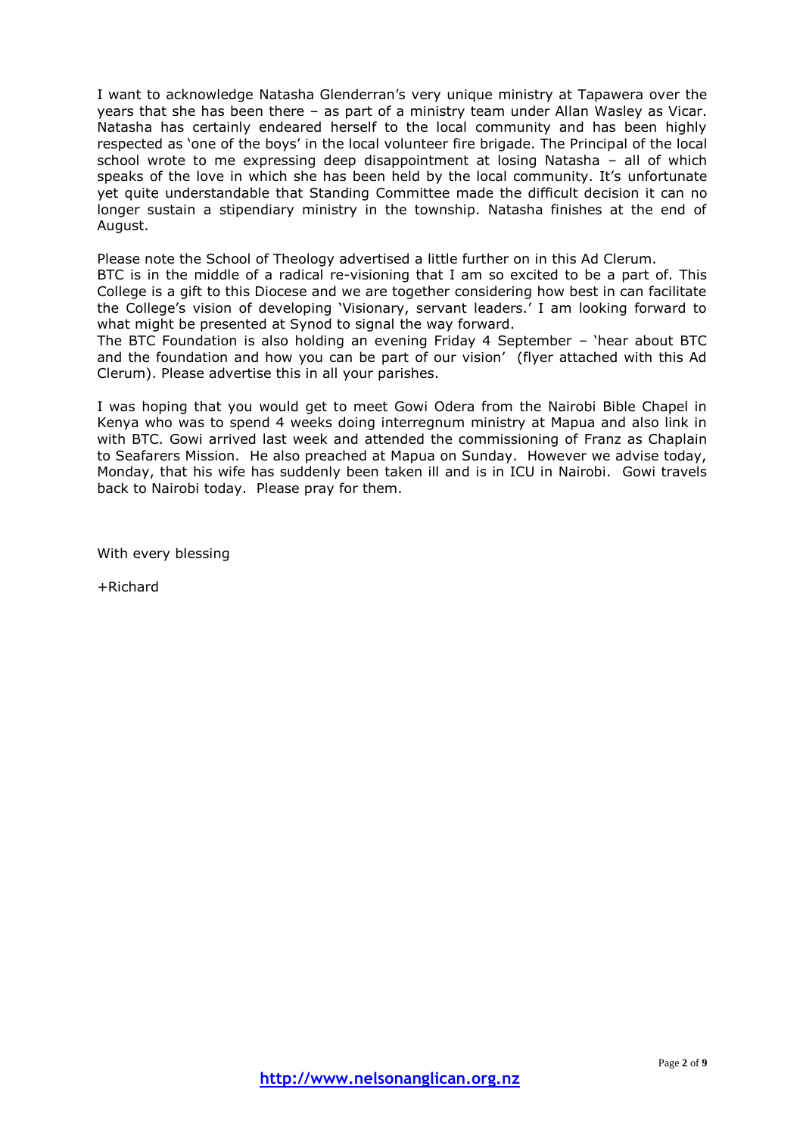I want to acknowledge Natasha Glenderran's very unique ministry at Tapawera over the years that she has been there – as part of a ministry team under Allan Wasley as Vicar. Natasha has certainly endeared herself to the local community and has been highly respected as 'one of the boys' in the local volunteer fire brigade. The Principal of the local school wrote to me expressing deep disappointment at losing Natasha – all of which speaks of the love in which she has been held by the local community. It's unfortunate yet quite understandable that Standing Committee made the difficult decision it can no longer sustain a stipendiary ministry in the township. Natasha finishes at the end of August.

Please note the School of Theology advertised a little further on in this Ad Clerum. BTC is in the middle of a radical re-visioning that I am so excited to be a part of. This College is a gift to this Diocese and we are together considering how best in can facilitate the College's vision of developing 'Visionary, servant leaders.' I am looking forward to what might be presented at Synod to signal the way forward.

The BTC Foundation is also holding an evening Friday 4 September – 'hear about BTC and the foundation and how you can be part of our vision' (flyer attached with this Ad Clerum). Please advertise this in all your parishes.

I was hoping that you would get to meet Gowi Odera from the Nairobi Bible Chapel in Kenya who was to spend 4 weeks doing interregnum ministry at Mapua and also link in with BTC. Gowi arrived last week and attended the commissioning of Franz as Chaplain to Seafarers Mission. He also preached at Mapua on Sunday. However we advise today, Monday, that his wife has suddenly been taken ill and is in ICU in Nairobi. Gowi travels back to Nairobi today. Please pray for them.

With every blessing

+Richard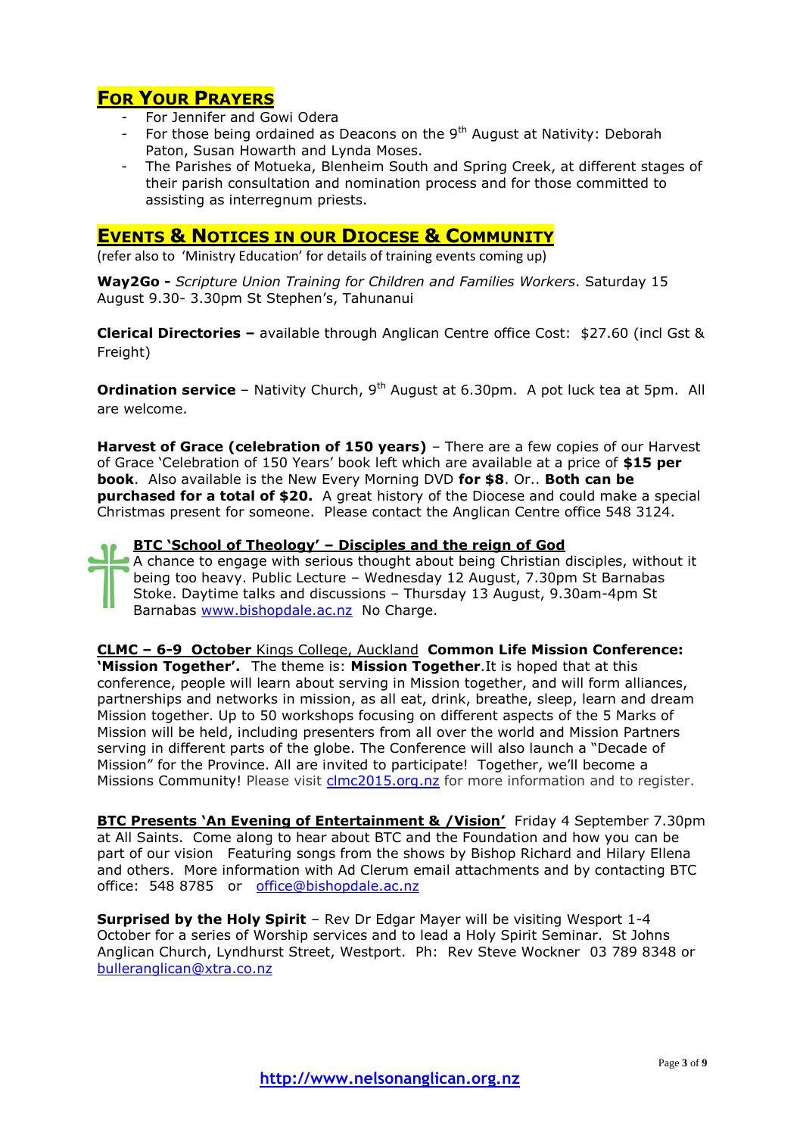# **FOR YOUR PRAYERS**

- For Jennifer and Gowi Odera
- For those being ordained as Deacons on the  $9<sup>th</sup>$  August at Nativity: Deborah Paton, Susan Howarth and Lynda Moses.
- The Parishes of Motueka, Blenheim South and Spring Creek, at different stages of their parish consultation and nomination process and for those committed to assisting as interregnum priests.

## **EVENTS & NOTICES IN OUR DIOCESE & COMMUNITY**

(refer also to 'Ministry Education' for details of training events coming up)

**Way2Go -** *Scripture Union Training for Children and Families Workers*. Saturday 15 August 9.30- 3.30pm St Stephen's, Tahunanui

**Clerical Directories –** available through Anglican Centre office Cost: \$27.60 (incl Gst & Freight)

**Ordination service** – Nativity Church, 9<sup>th</sup> August at 6.30pm. A pot luck tea at 5pm. All are welcome.

**Harvest of Grace (celebration of 150 years)** – There are a few copies of our Harvest of Grace 'Celebration of 150 Years' book left which are available at a price of **\$15 per book**. Also available is the New Every Morning DVD **for \$8**. Or.. **Both can be purchased for a total of \$20.** A great history of the Diocese and could make a special Christmas present for someone. Please contact the Anglican Centre office 548 3124.

**BTC 'School of Theology' – Disciples and the reign of God** A chance to engage with serious thought about being Christian disciples, without it being too heavy. Public Lecture – Wednesday 12 August, 7.30pm St Barnabas Stoke. Daytime talks and discussions – Thursday 13 August, 9.30am-4pm St Barnabas [www.bishopdale.ac.nz](http://www.bishopdale.ac.nz/) No Charge.

**CLMC – 6-9 October** Kings College, Auckland **Common Life Mission Conference: 'Mission Together'.** The theme is: **Mission Together**.It is hoped that at this conference, people will learn about serving in Mission together, and will form alliances, partnerships and networks in mission, as all eat, drink, breathe, sleep, learn and dream Mission together. Up to 50 workshops focusing on different aspects of the 5 Marks of Mission will be held, including presenters from all over the world and Mission Partners serving in different parts of the globe. The Conference will also launch a "Decade of Mission" for the Province. All are invited to participate! Together, we'll become a Missions Community! Please visit [clmc2015.org.nz](http://clmc2015.org.nz/) for more information and to register.

**BTC Presents 'An Evening of Entertainment & /Vision'** Friday 4 September 7.30pm at All Saints. Come along to hear about BTC and the Foundation and how you can be part of our vision Featuring songs from the shows by Bishop Richard and Hilary Ellena and others. More information with Ad Clerum email attachments and by contacting BTC office: 548 8785 or [office@bishopdale.ac.nz](mailto:office@bishopdale.ac.nz)

**Surprised by the Holy Spirit** – Rev Dr Edgar Mayer will be visiting Wesport 1-4 October for a series of Worship services and to lead a Holy Spirit Seminar. St Johns Anglican Church, Lyndhurst Street, Westport. Ph: Rev Steve Wockner 03 789 8348 or [bulleranglican@xtra.co.nz](mailto:bulleranglican@xtra.co.nz)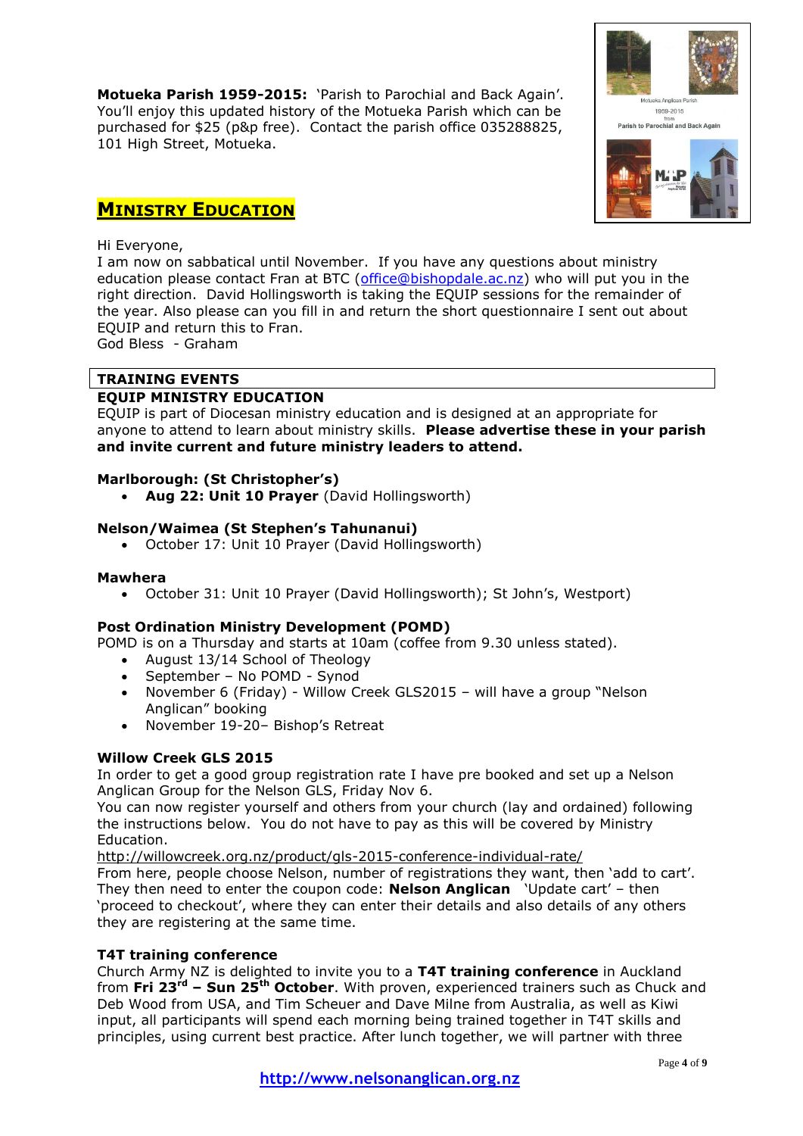**Motueka Parish 1959-2015:** 'Parish to Parochial and Back Again'. You'll enjoy this updated history of the Motueka Parish which can be purchased for \$25 (p&p free). Contact the parish office 035288825, 101 High Street, Motueka.



## **MINISTRY EDUCATION**

### Hi Everyone,

I am now on sabbatical until November. If you have any questions about ministry education please contact Fran at BTC [\(office@bishopdale.ac.nz\)](mailto:office@bishopdale.ac.nz) who will put you in the right direction. David Hollingsworth is taking the EQUIP sessions for the remainder of the year. Also please can you fill in and return the short questionnaire I sent out about EQUIP and return this to Fran.

God Bless - Graham

## **TRAINING EVENTS**

## **EQUIP MINISTRY EDUCATION**

EQUIP is part of Diocesan ministry education and is designed at an appropriate for anyone to attend to learn about ministry skills. **Please advertise these in your parish and invite current and future ministry leaders to attend.**

## **Marlborough: (St Christopher's)**

**Aug 22: Unit 10 Prayer** (David Hollingsworth)

## **Nelson/Waimea (St Stephen's Tahunanui)**

• October 17: Unit 10 Prayer (David Hollingsworth)

## **Mawhera**

October 31: Unit 10 Prayer (David Hollingsworth); St John's, Westport)

## **Post Ordination Ministry Development (POMD)**

POMD is on a Thursday and starts at 10am (coffee from 9.30 unless stated).

- August 13/14 School of Theology
- September No POMD Synod
- November 6 (Friday) Willow Creek GLS2015 will have a group "Nelson Anglican" booking
- November 19-20– Bishop's Retreat

## **Willow Creek GLS 2015**

In order to get a good group registration rate I have pre booked and set up a Nelson Anglican Group for the Nelson GLS, Friday Nov 6.

You can now register yourself and others from your church (lay and ordained) following the instructions below. You do not have to pay as this will be covered by Ministry Education.

<http://willowcreek.org.nz/product/gls-2015-conference-individual-rate/>

From here, people choose Nelson, number of registrations they want, then 'add to cart'. They then need to enter the coupon code: **Nelson Anglican** 'Update cart' – then 'proceed to checkout', where they can enter their details and also details of any others they are registering at the same time.

## **T4T training conference**

Church Army NZ is delighted to invite you to a **T4T training conference** in Auckland from **Fri 23rd – Sun 25th October**. With proven, experienced trainers such as Chuck and Deb Wood from USA, and Tim Scheuer and Dave Milne from Australia, as well as Kiwi input, all participants will spend each morning being trained together in T4T skills and principles, using current best practice. After lunch together, we will partner with three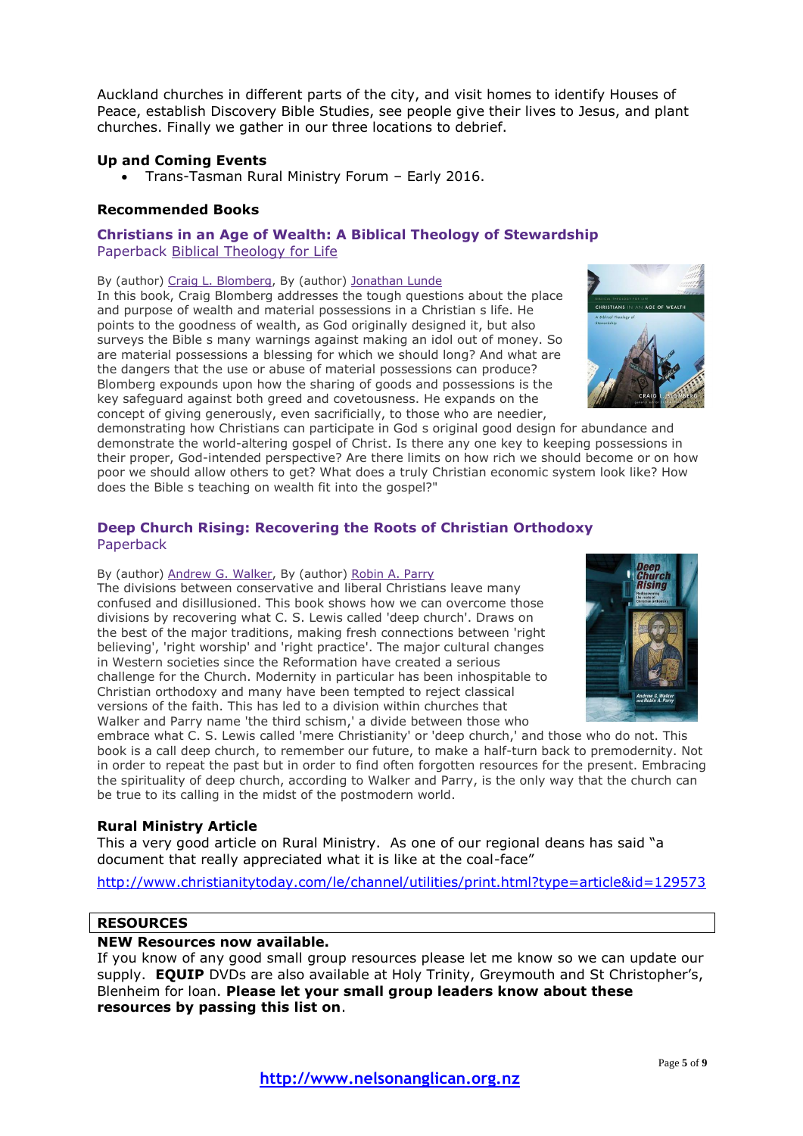Auckland churches in different parts of the city, and visit homes to identify Houses of Peace, establish Discovery Bible Studies, see people give their lives to Jesus, and plant churches. Finally we gather in our three locations to debrief.

## **Up and Coming Events**

Trans-Tasman Rural Ministry Forum – Early 2016.

#### **Recommended Books**

### **Christians in an Age of Wealth: A Biblical Theology of Stewardship** Paperback Biblical [Theology](http://www.bookdepository.com/search/advanced?searchTerm=&searchSeries=33627) for Life

#### By (author) Craig L. [Blomberg,](http://www.bookdepository.com/author/Craig-L-Blomberg) By (author) [Jonathan](http://www.bookdepository.com/author/Jonathan-Lunde) Lunde

In this book, Craig Blomberg addresses the tough questions about the place and purpose of wealth and material possessions in a Christian s life. He points to the goodness of wealth, as God originally designed it, but also surveys the Bible s many warnings against making an idol out of money. So are material possessions a blessing for which we should long? And what are the dangers that the use or abuse of material possessions can produce? Blomberg expounds upon how the sharing of goods and possessions is the key safeguard against both greed and covetousness. He expands on the concept of giving generously, even sacrificially, to those who are needier,



demonstrating how Christians can participate in God s original good design for abundance and demonstrate the world-altering gospel of Christ. Is there any one key to keeping possessions in their proper, God-intended perspective? Are there limits on how rich we should become or on how poor we should allow others to get? What does a truly Christian economic system look like? How does the Bible s teaching on wealth fit into the gospel?"

## **Deep Church Rising: Recovering the Roots of Christian Orthodoxy** Paperback

#### By (author) [Andrew](http://www.bookdepository.com/author/Andrew-G-Walker) G. Walker, By (author) [Robin](http://www.bookdepository.com/author/Robin-Parry) A. Parry

The divisions between conservative and liberal Christians leave many confused and disillusioned. This book shows how we can overcome those divisions by recovering what C. S. Lewis called 'deep church'. Draws on the best of the major traditions, making fresh connections between 'right believing', 'right worship' and 'right practice'. The major cultural changes in Western societies since the Reformation have created a serious challenge for the Church. Modernity in particular has been inhospitable to Christian orthodoxy and many have been tempted to reject classical versions of the faith. This has led to a division within churches that Walker and Parry name 'the third schism,' a divide between those who



embrace what C. S. Lewis called 'mere Christianity' or 'deep church,' and those who do not. This book is a call deep church, to remember our future, to make a half-turn back to premodernity. Not in order to repeat the past but in order to find often forgotten resources for the present. Embracing the spirituality of deep church, according to Walker and Parry, is the only way that the church can be true to its calling in the midst of the postmodern world.

#### **Rural Ministry Article**

This a very good article on Rural Ministry. As one of our regional deans has said "a document that really appreciated what it is like at the coal-face"

<http://www.christianitytoday.com/le/channel/utilities/print.html?type=article&id=129573>

## **RESOURCES**

#### **NEW Resources now available.**

If you know of any good small group resources please let me know so we can update our supply. **EQUIP** DVDs are also available at Holy Trinity, Greymouth and St Christopher's, Blenheim for loan. **Please let your small group leaders know about these resources by passing this list on**.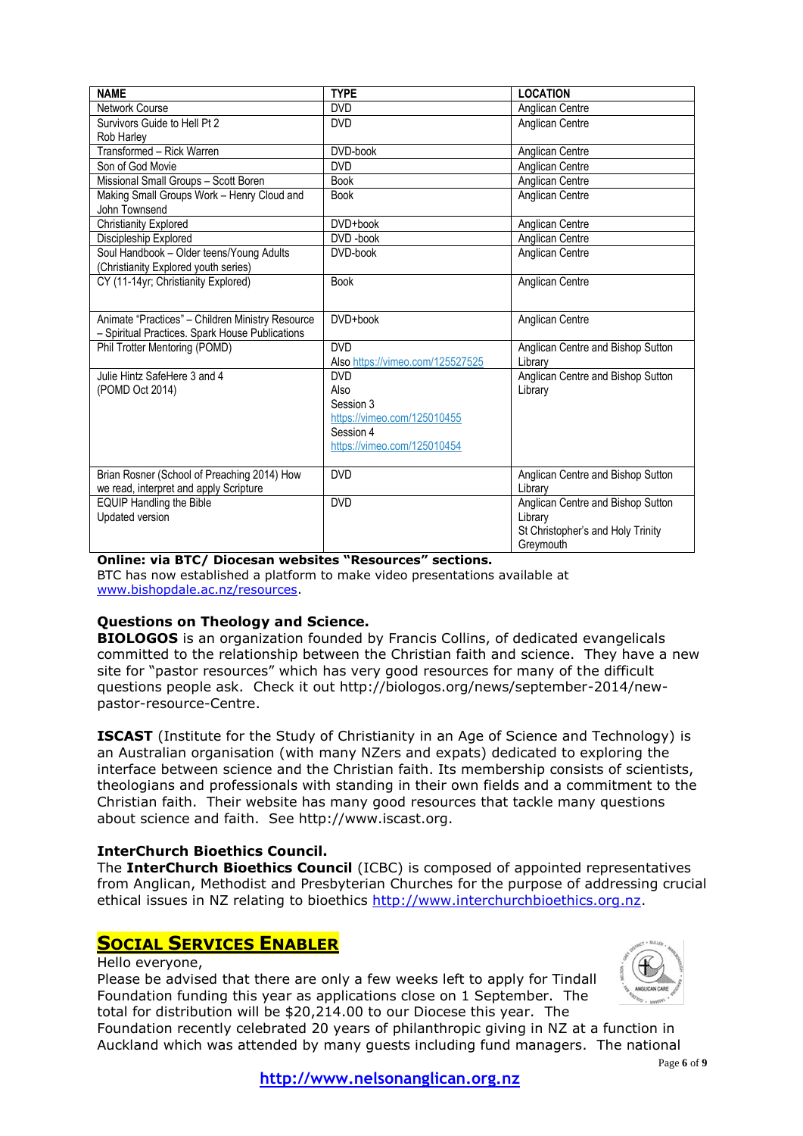| <b>NAME</b>                                                                                         | <b>TYPE</b>                                                                                                | <b>LOCATION</b>                                                                                |
|-----------------------------------------------------------------------------------------------------|------------------------------------------------------------------------------------------------------------|------------------------------------------------------------------------------------------------|
| <b>Network Course</b>                                                                               | <b>DVD</b>                                                                                                 | Anglican Centre                                                                                |
| Survivors Guide to Hell Pt 2                                                                        | <b>DVD</b>                                                                                                 | Anglican Centre                                                                                |
| Rob Harley                                                                                          |                                                                                                            |                                                                                                |
| Transformed - Rick Warren                                                                           | DVD-book                                                                                                   | Anglican Centre                                                                                |
| Son of God Movie                                                                                    | <b>DVD</b>                                                                                                 | Anglican Centre                                                                                |
| Missional Small Groups - Scott Boren                                                                | <b>Book</b>                                                                                                | Anglican Centre                                                                                |
| Making Small Groups Work - Henry Cloud and<br>John Townsend                                         | <b>Book</b>                                                                                                | Anglican Centre                                                                                |
| <b>Christianity Explored</b>                                                                        | DVD+book                                                                                                   | Anglican Centre                                                                                |
| Discipleship Explored                                                                               | DVD-book                                                                                                   | Anglican Centre                                                                                |
| Soul Handbook - Older teens/Young Adults<br>(Christianity Explored youth series)                    | DVD-book                                                                                                   | Anglican Centre                                                                                |
| CY (11-14yr; Christianity Explored)                                                                 | <b>Book</b>                                                                                                | Anglican Centre                                                                                |
| Animate "Practices" - Children Ministry Resource<br>- Spiritual Practices. Spark House Publications | DVD+book                                                                                                   | Anglican Centre                                                                                |
| Phil Trotter Mentoring (POMD)                                                                       | <b>DVD</b><br>Also https://vimeo.com/125527525                                                             | Anglican Centre and Bishop Sutton<br>Library                                                   |
| Julie Hintz SafeHere 3 and 4<br>(POMD Oct 2014)                                                     | <b>DVD</b><br>Also<br>Session 3<br>https://vimeo.com/125010455<br>Session 4<br>https://vimeo.com/125010454 | Anglican Centre and Bishop Sutton<br>Library                                                   |
| Brian Rosner (School of Preaching 2014) How<br>we read, interpret and apply Scripture               | <b>DVD</b>                                                                                                 | Anglican Centre and Bishop Sutton<br>Library                                                   |
| <b>EQUIP Handling the Bible</b><br>Updated version                                                  | <b>DVD</b>                                                                                                 | Anglican Centre and Bishop Sutton<br>Library<br>St Christopher's and Holy Trinity<br>Greymouth |

## **Online: via BTC/ Diocesan websites "Resources" sections.**

BTC has now established a platform to make video presentations available at [www.bishopdale.ac.nz/resources.](http://www.bishopdale.ac.nz/resources)

## **Questions on Theology and Science.**

**BIOLOGOS** is an organization founded by Francis Collins, of dedicated evangelicals committed to the relationship between the Christian faith and science. They have a new site for "pastor resources" which has very good resources for many of the difficult questions people ask. Check it out http://biologos.org/news/september-2014/newpastor-resource-Centre.

**ISCAST** (Institute for the Study of Christianity in an Age of Science and Technology) is an Australian organisation (with many NZers and expats) dedicated to exploring the interface between science and the Christian faith. Its membership consists of scientists, theologians and professionals with standing in their own fields and a commitment to the Christian faith. Their website has many good resources that tackle many questions about science and faith. See http://www.iscast.org.

## **InterChurch Bioethics Council.**

The **InterChurch Bioethics Council** (ICBC) is composed of appointed representatives from Anglican, Methodist and Presbyterian Churches for the purpose of addressing crucial ethical issues in NZ relating to bioethics [http://www.interchurchbioethics.org.nz.](http://www.interchurchbioethics.org.nz/)

## **SOCIAL SERVICES ENABLER**

Hello everyone,

Please be advised that there are only a few weeks left to apply for Tindall Foundation funding this year as applications close on 1 September. The total for distribution will be \$20,214.00 to our Diocese this year. The



Foundation recently celebrated 20 years of philanthropic giving in NZ at a function in Auckland which was attended by many guests including fund managers. The national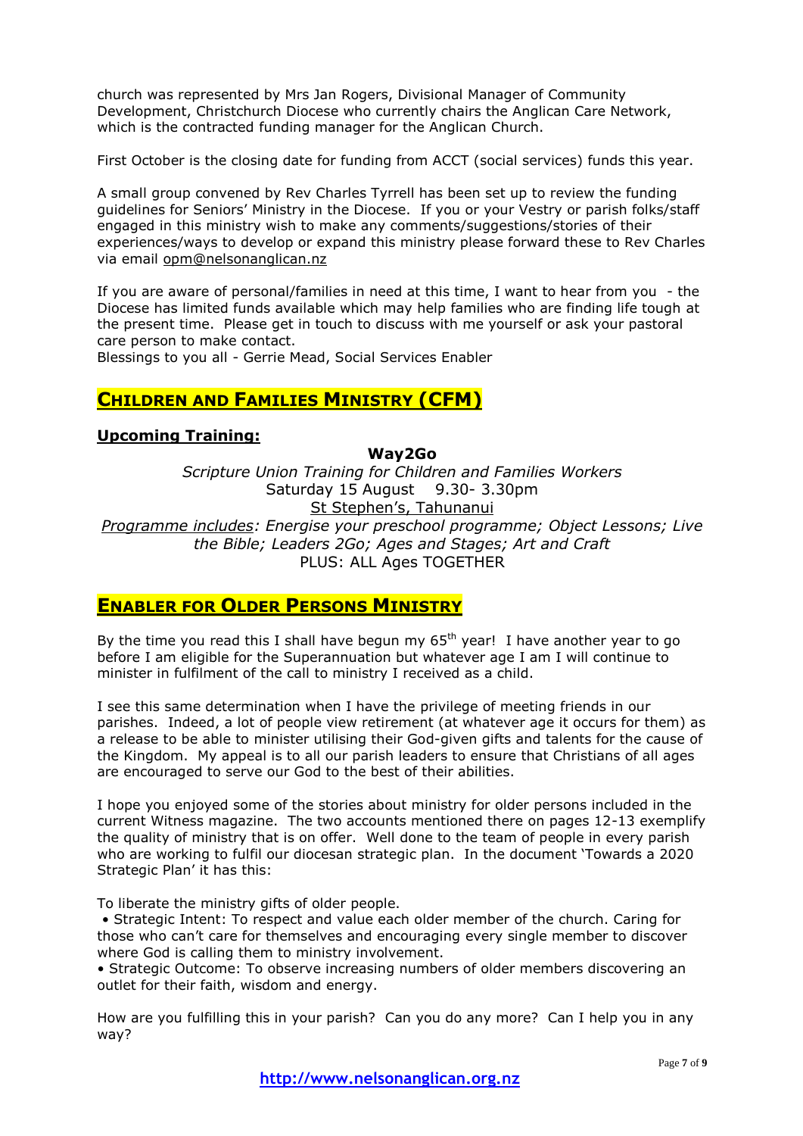church was represented by Mrs Jan Rogers, Divisional Manager of Community Development, Christchurch Diocese who currently chairs the Anglican Care Network, which is the contracted funding manager for the Anglican Church.

First October is the closing date for funding from ACCT (social services) funds this year.

A small group convened by Rev Charles Tyrrell has been set up to review the funding guidelines for Seniors' Ministry in the Diocese. If you or your Vestry or parish folks/staff engaged in this ministry wish to make any comments/suggestions/stories of their experiences/ways to develop or expand this ministry please forward these to Rev Charles via email [opm@nelsonanglican.nz](mailto:opm@nelsonanglican.nz)

If you are aware of personal/families in need at this time, I want to hear from you - the Diocese has limited funds available which may help families who are finding life tough at the present time. Please get in touch to discuss with me yourself or ask your pastoral care person to make contact.

Blessings to you all - Gerrie Mead, Social Services Enabler

## **CHILDREN AND FAMILIES MINISTRY (CFM)**

## **Upcoming Training:**

**Way2Go**

*Scripture Union Training for Children and Families Workers* Saturday 15 August 9.30- 3.30pm St Stephen's, Tahunanui *Programme includes: Energise your preschool programme; Object Lessons; Live the Bible; Leaders 2Go; Ages and Stages; Art and Craft*

PLUS: ALL Ages TOGETHER

## **ENABLER FOR OLDER PERSONS MINISTRY**

By the time you read this I shall have begun my  $65<sup>th</sup>$  year! I have another year to go before I am eligible for the Superannuation but whatever age I am I will continue to minister in fulfilment of the call to ministry I received as a child.

I see this same determination when I have the privilege of meeting friends in our parishes. Indeed, a lot of people view retirement (at whatever age it occurs for them) as a release to be able to minister utilising their God-given gifts and talents for the cause of the Kingdom. My appeal is to all our parish leaders to ensure that Christians of all ages are encouraged to serve our God to the best of their abilities.

I hope you enjoyed some of the stories about ministry for older persons included in the current Witness magazine. The two accounts mentioned there on pages 12-13 exemplify the quality of ministry that is on offer. Well done to the team of people in every parish who are working to fulfil our diocesan strategic plan. In the document 'Towards a 2020 Strategic Plan' it has this:

To liberate the ministry gifts of older people.

• Strategic Intent: To respect and value each older member of the church. Caring for those who can't care for themselves and encouraging every single member to discover where God is calling them to ministry involvement.

• Strategic Outcome: To observe increasing numbers of older members discovering an outlet for their faith, wisdom and energy.

How are you fulfilling this in your parish? Can you do any more? Can I help you in any way?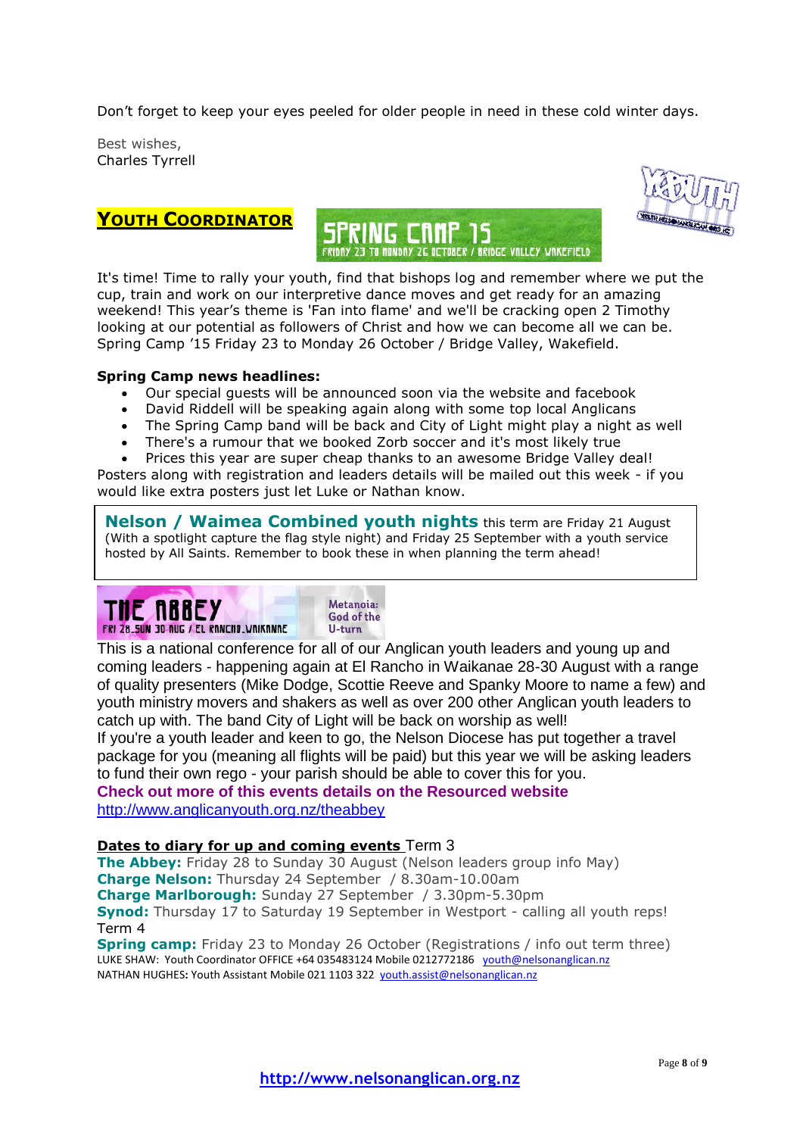Don't forget to keep your eyes peeled for older people in need in these cold winter days.

Best wishes, Charles Tyrrell



**YOUTH COORDINATOR**

It's time! Time to rally your youth, find that bishops log and remember where we put the cup, train and work on our interpretive dance moves and get ready for an amazing weekend! This year's theme is 'Fan into flame' and we'll be cracking open 2 Timothy looking at our potential as followers of Christ and how we can become all we can be. Spring Camp '15 Friday 23 to Monday 26 October / Bridge Valley, Wakefield.

## **Spring Camp news headlines:**

- Our special guests will be announced soon via the website and facebook
- David Riddell will be speaking again along with some top local Anglicans
- The Spring Camp band will be back and City of Light might play a night as well
- There's a rumour that we booked Zorb soccer and it's most likely true

 Prices this year are super cheap thanks to an awesome Bridge Valley deal! Posters along with registration and leaders details will be mailed out this week - if you would like extra posters just let Luke or Nathan know.

**Nelson / Waimea Combined youth nights** this term are Friday 21 August (With a spotlight capture the flag style night) and Friday 25 September with a youth service hosted by All Saints. Remember to book these in when planning the term ahead!



This is a national conference for all of our Anglican youth leaders and young up and coming leaders - happening again at El Rancho in Waikanae 28-30 August with a range of quality presenters (Mike Dodge, Scottie Reeve and Spanky Moore to name a few) and youth ministry movers and shakers as well as over 200 other Anglican youth leaders to catch up with. The band City of Light will be back on worship as well!

If you're a youth leader and keen to go, the Nelson Diocese has put together a travel package for you (meaning all flights will be paid) but this year we will be asking leaders to fund their own rego - your parish should be able to cover this for you.

**Check out more of this events details on the Resourced website**  <http://www.anglicanyouth.org.nz/theabbey>

## **Dates to diary for up and coming events** Term 3

**The Abbey:** Friday 28 to Sunday 30 August (Nelson leaders group info May) **Charge Nelson:** Thursday 24 September / 8.30am-10.00am **Charge Marlborough:** Sunday 27 September / 3.30pm-5.30pm **Synod:** Thursday 17 to Saturday 19 September in Westport - calling all youth reps! Term 4

**Spring camp:** Friday 23 to Monday 26 October (Registrations / info out term three) LUKE SHAW: Youth Coordinator OFFICE +64 035483124 Mobile 0212772186 [youth@nelsonanglican.nz](mailto:youth@nelsonanglican.nz) NATHAN HUGHES**:** Youth Assistant Mobile 021 1103 322 [youth.assist@nelsonanglican.nz](mailto:youth.assist@nelsonanglican.nz)